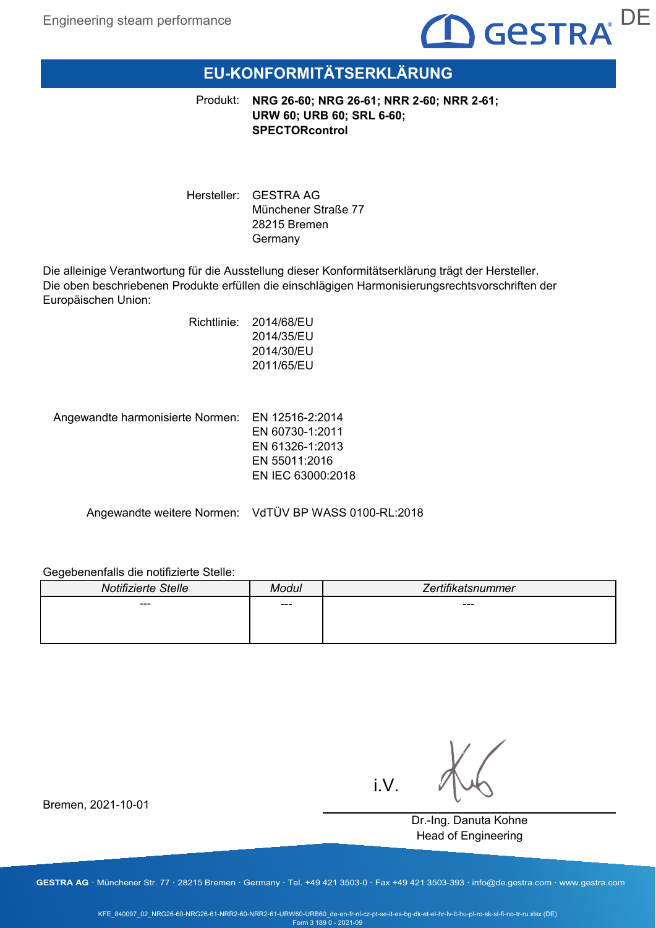

# **EU-KONFORMITÄTSERKLÄRUNG**

Produkt: **NRG 26-60; NRG 26-61; NRR 2-60; NRR 2-61; URW 60; URB 60; SRL 6-60; SPECTORcontrol**

Hersteller: GESTRA AG Münchener Straße 77 28215 Bremen Germany

Die alleinige Verantwortung für die Ausstellung dieser Konformitätserklärung trägt der Hersteller. Die oben beschriebenen Produkte erfüllen die einschlägigen Harmonisierungsrechtsvorschriften der Europäischen Union:

> Richtlinie: 2014/68/EU 2014/35/EU 2014/30/EU 2011/65/EU

Angewandte harmonisierte Normen: EN 12516-2:2014

EN 60730-1:2011 EN 61326-1:2013 EN 55011:2016 EN IEC 63000:2018

Angewandte weitere Normen: VdTÜV BP WASS 0100-RL:2018

### Gegebenenfalls die notifizierte Stelle:

| Notifizierte Stelle | Modul | Zertifikatsnummer |
|---------------------|-------|-------------------|
| ---                 | ---   | ---               |
|                     |       |                   |
|                     |       |                   |

i.V.

Dr.-Ing. Danuta Kohne Head of Engineering

Bremen, 2021-10-01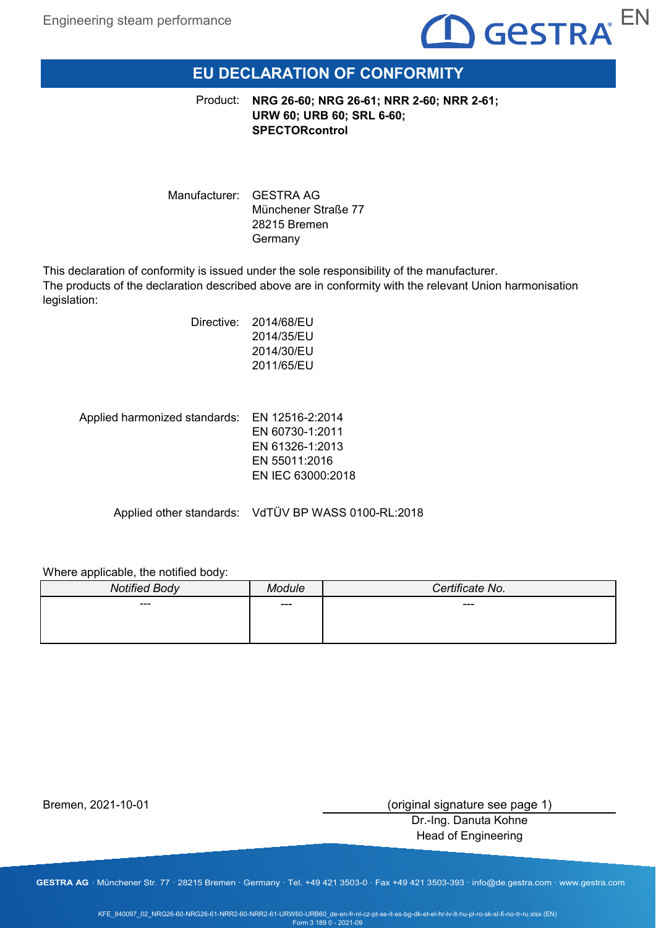

# **EU DECLARATION OF CONFORMITY**

**NRG 26-60; NRG 26-61; NRR 2-60; NRR 2-61;** Product: **URW 60; URB 60; SRL 6-60; SPECTORcontrol**

Manufacturer: GESTRA AG Münchener Straße 77 28215 Bremen Germany

This declaration of conformity is issued under the sole responsibility of the manufacturer. The products of the declaration described above are in conformity with the relevant Union harmonisation legislation:

| Directive: | 2014/68/EU |
|------------|------------|
|            | 2014/35/EU |
|            | 2014/30/EU |
|            | 2011/65/EU |
|            |            |

Applied harmonized standards: EN 12516-2:2014 EN 60730-1:2011 EN 61326-1:2013 EN 55011:2016 EN IEC 63000:2018

Applied other standards: VdTÜV BP WASS 0100-RL:2018

Where applicable, the notified body:

| <b>Notified Body</b> | dule | Certificate No. |
|----------------------|------|-----------------|
| ---                  | ---  | ---             |
|                      |      |                 |
|                      |      |                 |

Bremen, 2021-10-01

(original signature see page 1)

Dr.-Ing. Danuta Kohne Head of Engineering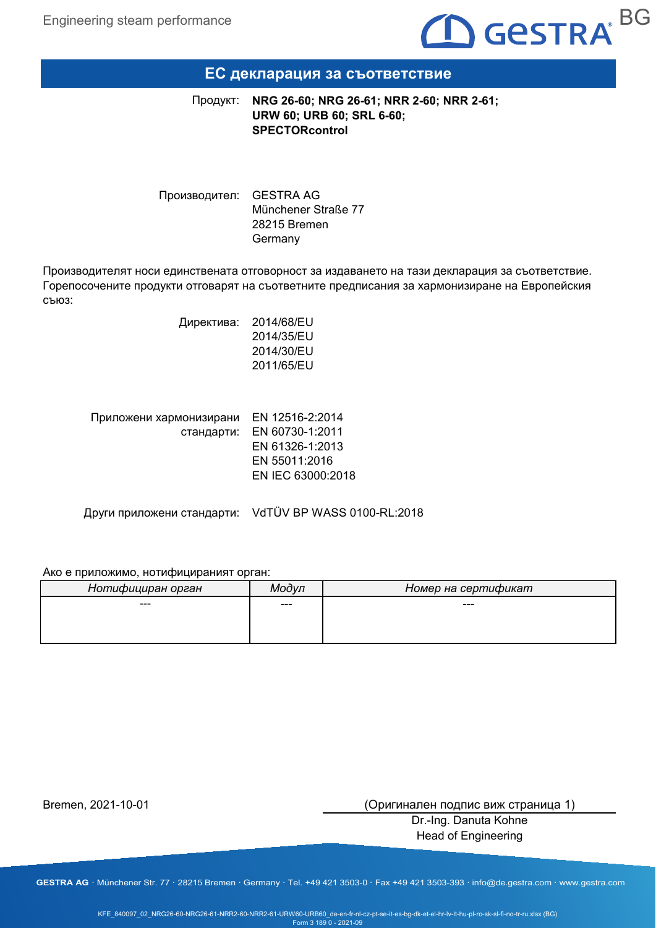

### **ЕС декларация за съответствие**

**NRG 26-60; NRG 26-61; NRR 2-60; NRR 2-61; URW 60; URB 60; SRL 6-60; SPECTORcontrol** Продукт:

Производител: GESTRA AG Münchener Straße 77 28215 Bremen Germany

Производителят носи единствената отговорност за издаването на тази декларация за съответствие. Горепосочените продукти отговарят на съответните предписания за хармонизиране на Европейския съюз:

> Директива: 2014/68/EU 2014/35/EU 2014/30/EU 2011/65/EU

| Приложени хармонизирани | EN 12516-2:2014            |
|-------------------------|----------------------------|
|                         | стандарти: EN 60730-1:2011 |
|                         | EN 61326-1:2013            |
|                         | EN 55011:2016              |
|                         | EN IEC 63000:2018          |
|                         |                            |

Други приложени стандарти: VdTÜV BP WASS 0100-RL:2018

#### Ако е приложимо, нотифицираният орган:

| Нотифициран орган | Модуп | Номер на сертификат |
|-------------------|-------|---------------------|
| ---               | ---   | $---$               |
|                   |       |                     |
|                   |       |                     |

Bremen, 2021-10-01

(Оригинален подпис виж страница 1)

Dr.-Ing. Danuta Kohne Head of Engineering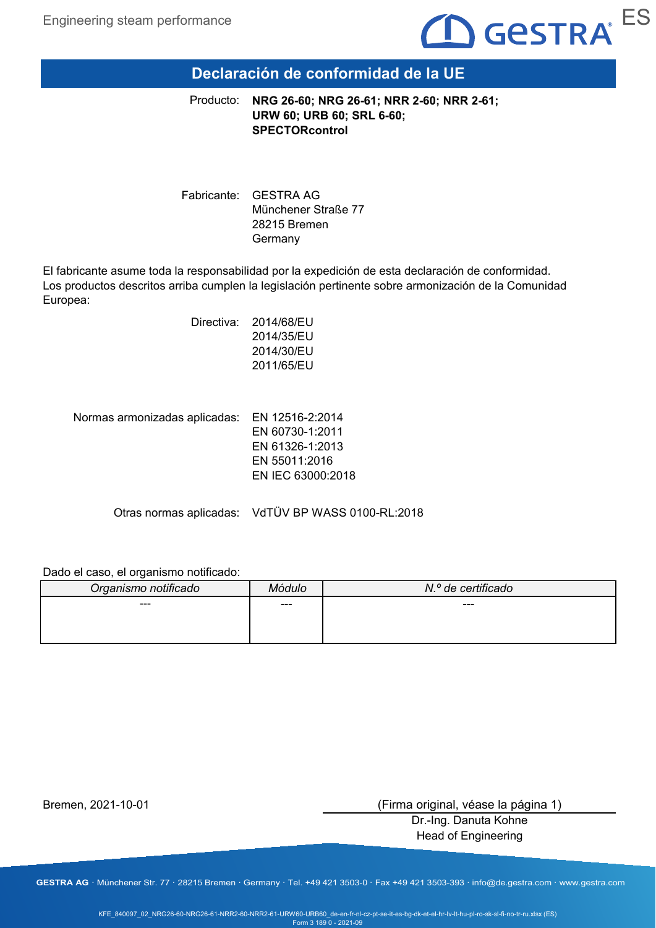

# **Declaración de conformidad de la UE**

**NRG 26-60; NRG 26-61; NRR 2-60; NRR 2-61; URW 60; URB 60; SRL 6-60; SPECTORcontrol** Producto:

Fabricante: GESTRA AG Münchener Straße 77 28215 Bremen Germany

El fabricante asume toda la responsabilidad por la expedición de esta declaración de conformidad. Los productos descritos arriba cumplen la legislación pertinente sobre armonización de la Comunidad Europea:

| Directiva: | 2014/68/EU |
|------------|------------|
|            | 2014/35/EU |
|            | 2014/30/EU |
|            | 2011/65/EU |
|            |            |

Normas armonizadas aplicadas: EN 12516-2:2014

EN 60730-1:2011 EN 61326-1:2013 EN 55011:2016 EN IEC 63000:2018

Otras normas aplicadas: VdTÜV BP WASS 0100-RL:2018

#### Dado el caso, el organismo notificado:

| Organismo notificado | Módulo | N.º de certificado |
|----------------------|--------|--------------------|
| ---                  | ---    | $---$              |
|                      |        |                    |
|                      |        |                    |

Bremen, 2021-10-01

(Firma original, véase la página 1)

Dr.-Ing. Danuta Kohne Head of Engineering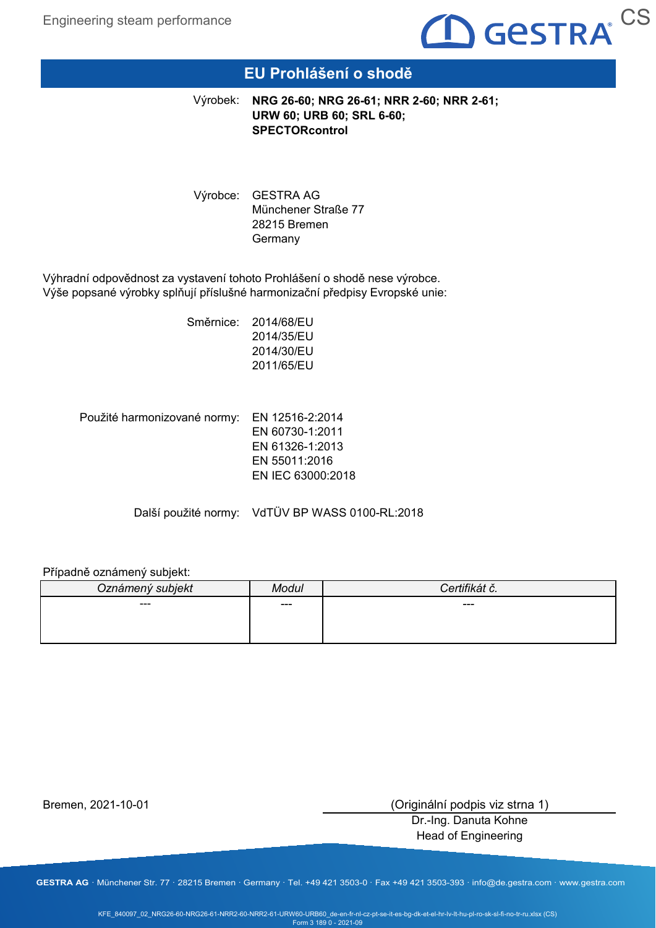

# **EU Prohlášení o shodě**

**NRG 26-60; NRG 26-61; NRR 2-60; NRR 2-61;** Výrobek: **URW 60; URB 60; SRL 6-60; SPECTORcontrol**

Výrobce: GESTRA AG Münchener Straße 77 28215 Bremen Germany

Výhradní odpovědnost za vystavení tohoto Prohlášení o shodě nese výrobce. Výše popsané výrobky splňují příslušné harmonizační předpisy Evropské unie:

> Směrnice: 2014/68/EU 2014/35/EU 2014/30/EU 2011/65/EU

Použité harmonizované normy: EN 12516-2:2014 EN 60730-1:2011 EN 61326-1:2013 EN 55011:2016 EN IEC 63000:2018

Další použité normy: VdTÜV BP WASS 0100-RL:2018

#### Případně oznámený subjekt:

| Oznámený subjekt | Modul | $\mathcal{L}$ . $\mathcal{L}$<br>nai c. |
|------------------|-------|-----------------------------------------|
| ---              | ---   | ---                                     |
|                  |       |                                         |
|                  |       |                                         |

Bremen, 2021-10-01

(Originální podpis viz strna 1)

Dr.-Ing. Danuta Kohne Head of Engineering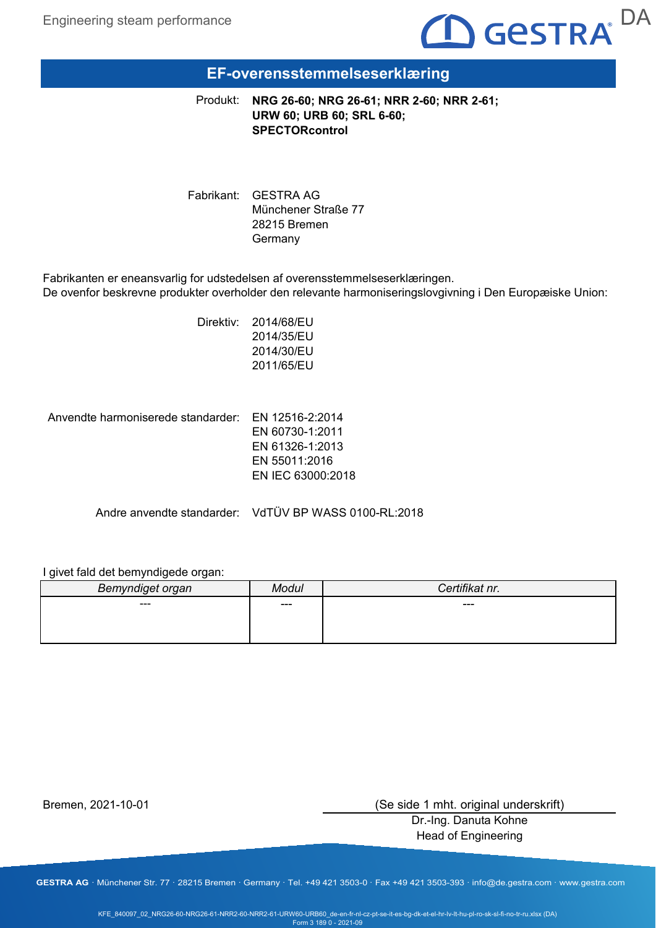

# **EF-overensstemmelseserklæring**

**NRG 26-60; NRG 26-61; NRR 2-60; NRR 2-61;** Produkt: **URW 60; URB 60; SRL 6-60; SPECTORcontrol**

Fabrikant: GESTRA AG Münchener Straße 77 28215 Bremen Germany

Fabrikanten er eneansvarlig for udstedelsen af overensstemmelseserklæringen. De ovenfor beskrevne produkter overholder den relevante harmoniseringslovgivning i Den Europæiske Union:

> Direktiv: 2014/68/EU 2014/35/EU 2014/30/EU 2011/65/EU

Anvendte harmoniserede standarder: EN 12516-2:2014

EN 60730-1:2011 EN 61326-1:2013 EN 55011:2016 EN IEC 63000:2018

Andre anvendte standarder: VdTÜV BP WASS 0100-RL:2018

#### I givet fald det bemyndigede organ:

| Bemyndiget organ | lodul | Certifikat nr. |
|------------------|-------|----------------|
| ---              | ---   | ---            |
|                  |       |                |
|                  |       |                |

Bremen, 2021-10-01

(Se side 1 mht. original underskrift)

Dr.-Ing. Danuta Kohne Head of Engineering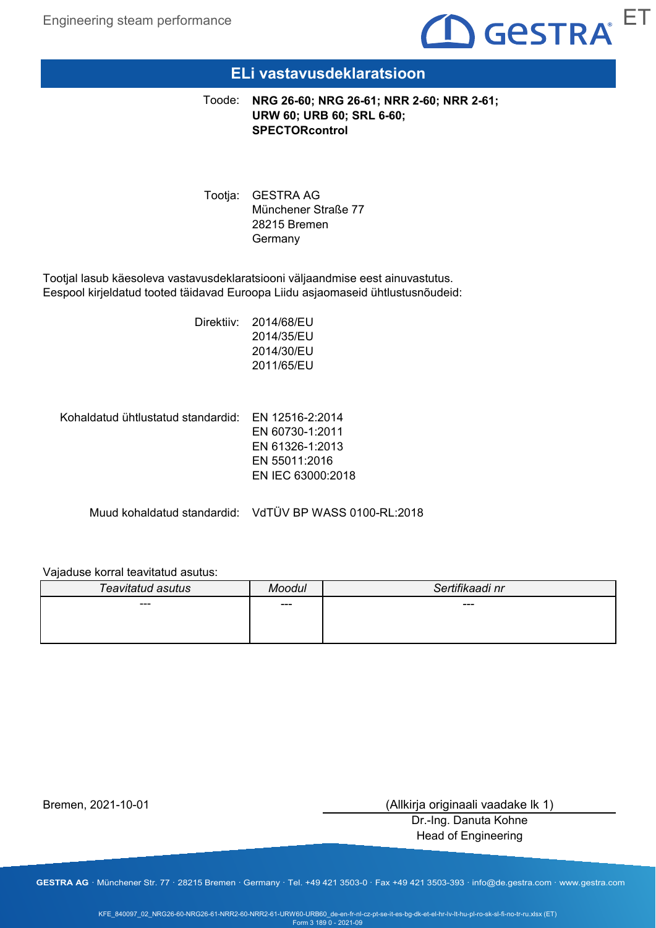

### **ELi vastavusdeklaratsioon**

**NRG 26-60; NRG 26-61; NRR 2-60; NRR 2-61; URW 60; URB 60; SRL 6-60; SPECTORcontrol** Toode:

Tootja: GESTRA AG Münchener Straße 77 28215 Bremen Germany

Tootjal lasub käesoleva vastavusdeklaratsiooni väljaandmise eest ainuvastutus. Eespool kirjeldatud tooted täidavad Euroopa Liidu asjaomaseid ühtlustusnõudeid:

> Direktiiv: 2014/68/EU 2014/35/EU 2014/30/EU 2011/65/EU

Kohaldatud ühtlustatud standardid: EN 12516-2:2014

EN 60730-1:2011 EN 61326-1:2013 EN 55011:2016 EN IEC 63000:2018

Muud kohaldatud standardid: VdTÜV BP WASS 0100-RL:2018

### Vajaduse korral teavitatud asutus:

| Teavitatud asutus | Moodul | Sertifikaadi nr |
|-------------------|--------|-----------------|
| ---               | ---    | ---             |
|                   |        |                 |
|                   |        |                 |

Bremen, 2021-10-01

(Allkirja originaali vaadake lk 1)

Dr.-Ing. Danuta Kohne Head of Engineering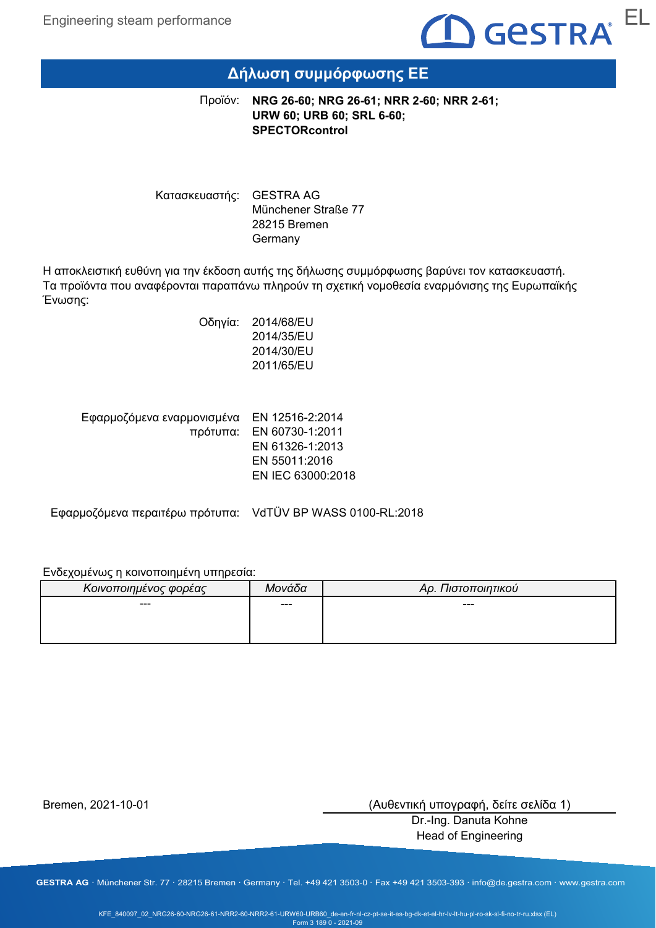

# **Δήλωση συμμόρφωσης ΕΕ**

**NRG 26-60; NRG 26-61; NRR 2-60; NRR 2-61;** Προϊόν: **URW 60; URB 60; SRL 6-60; SPECTORcontrol**

Κατασκευαστής: GESTRA AG Münchener Straße 77 28215 Bremen Germany

Η αποκλειστική ευθύνη για την έκδοση αυτής της δήλωσης συμμόρφωσης βαρύνει τον κατασκευαστή. Τα προϊόντα που αναφέρονται παραπάνω πληρούν τη σχετική νομοθεσία εναρμόνισης της Ευρωπαϊκής Ένωσης:

> Οδηγία: 2014/68/EU 2014/35/EU 2014/30/EU 2011/65/EU

| Εφαρμοζόμενα εναρμονισμένα ΕΝ 12516-2:2014 |
|--------------------------------------------|
| πρότυπα: EN 60730-1:2011                   |
| EN 61326-1:2013                            |
| EN 55011:2016                              |
| EN IEC 63000:2018                          |
|                                            |

Εφαρμοζόμενα περαιτέρω πρότυπα: VdTÜV BP WASS 0100-RL:2018

### Ενδεχομένως η κοινοποιημένη υπηρεσία:

| Κοινοποιημένος φορέας | Μονάδα | Αρ. Πιστοποιητικού |
|-----------------------|--------|--------------------|
| ---                   | ---    | ---                |
|                       |        |                    |
|                       |        |                    |

Bremen, 2021-10-01

(Αυθεντική υπογραφή, δείτε σελίδα 1)

Dr.-Ing. Danuta Kohne Head of Engineering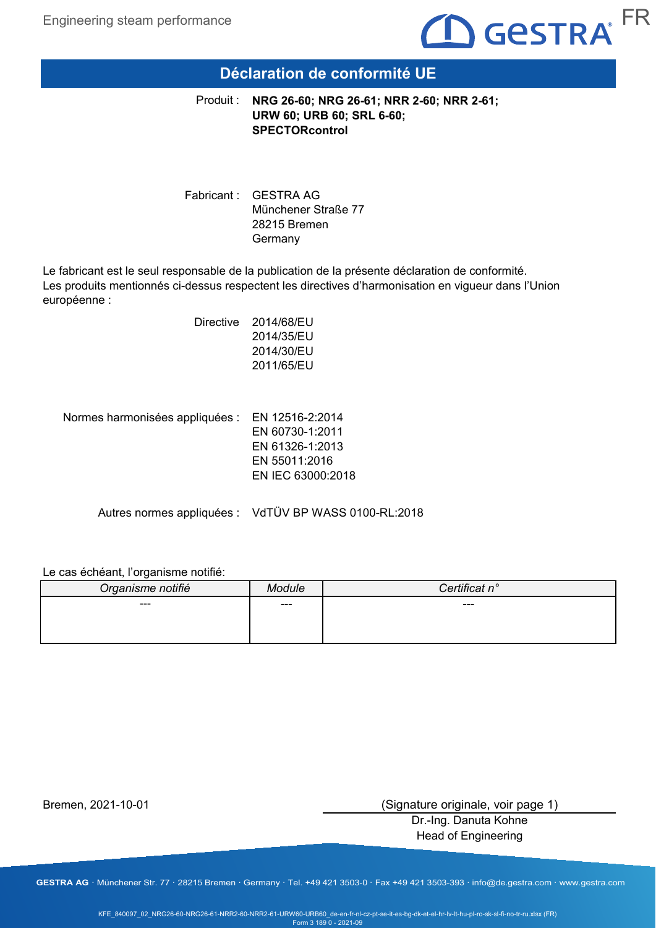

### **Déclaration de conformité UE**

**NRG 26-60; NRG 26-61; NRR 2-60; NRR 2-61;** Produit : **URW 60; URB 60; SRL 6-60; SPECTORcontrol**

Fabricant : GESTRA AG Münchener Straße 77 28215 Bremen Germany

Le fabricant est le seul responsable de la publication de la présente déclaration de conformité. Les produits mentionnés ci-dessus respectent les directives d'harmonisation en vigueur dans l'Union européenne :

> Directive 2014/68/EU 2014/35/EU 2014/30/EU 2011/65/EU

Normes harmonisées appliquées : EN 12516-2:2014 EN 60730-1:2011 EN 61326-1:2013 EN 55011:2016 EN IEC 63000:2018

Autres normes appliquées : VdTÜV BP WASS 0100-RL:2018

Le cas échéant, l'organisme notifié:

| Organisme notifié |       | tificat n $^{\circ}$ |
|-------------------|-------|----------------------|
| $\sim$ $\sim$     | $---$ | $---$                |
|                   |       |                      |
|                   |       |                      |

Bremen, 2021-10-01

(Signature originale, voir page 1)

Dr.-Ing. Danuta Kohne Head of Engineering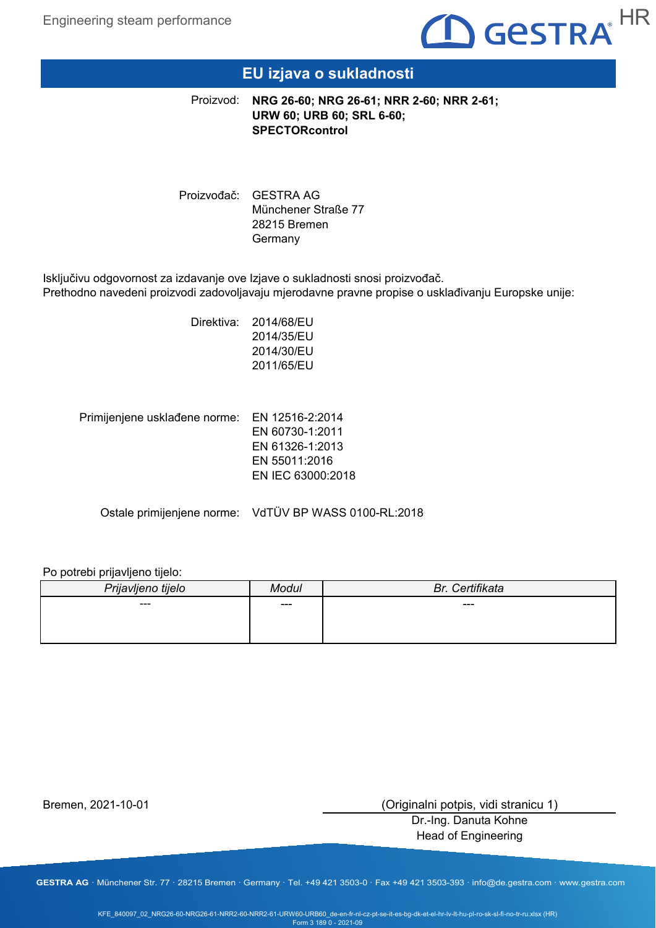

# **EU izjava o sukladnosti**

**NRG 26-60; NRG 26-61; NRR 2-60; NRR 2-61;** Proizvod: **URW 60; URB 60; SRL 6-60; SPECTORcontrol**

Proizvođač: GESTRA AG Münchener Straße 77 28215 Bremen Germany

Isključivu odgovornost za izdavanje ove Izjave o sukladnosti snosi proizvođač. Prethodno navedeni proizvodi zadovoljavaju mjerodavne pravne propise o usklađivanju Europske unije:

> Direktiva: 2014/68/EU 2014/35/EU 2014/30/EU 2011/65/EU

Primijenjene usklađene norme: EN 12516-2:2014 EN 60730-1:2011 EN 61326-1:2013 EN 55011:2016 EN IEC 63000:2018

Ostale primijenjene norme: VdTÜV BP WASS 0100-RL:2018

### Po potrebi prijavljeno tijelo:

| Prijavljeno tijelo | /lodul | Certifikata<br>Br. |
|--------------------|--------|--------------------|
| ---                | ---    | ---                |
|                    |        |                    |
|                    |        |                    |

Bremen, 2021-10-01

(Originalni potpis, vidi stranicu 1)

Dr.-Ing. Danuta Kohne Head of Engineering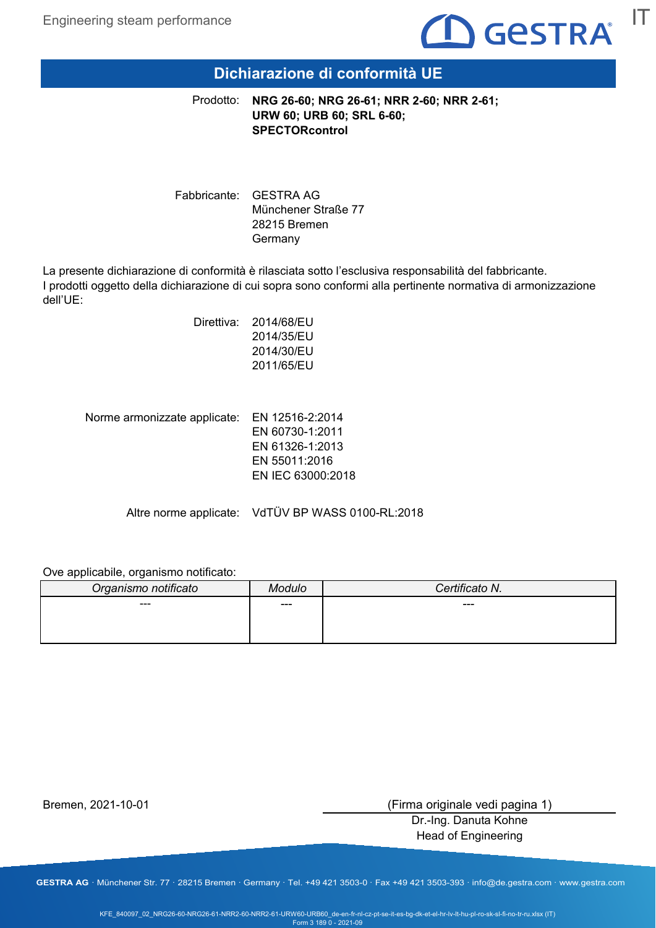

# **Dichiarazione di conformità UE**

**NRG 26-60; NRG 26-61; NRR 2-60; NRR 2-61; URW 60; URB 60; SRL 6-60; SPECTORcontrol** Prodotto:

Fabbricante: GESTRA AG Münchener Straße 77 28215 Bremen Germany

La presente dichiarazione di conformità è rilasciata sotto l'esclusiva responsabilità del fabbricante. I prodotti oggetto della dichiarazione di cui sopra sono conformi alla pertinente normativa di armonizzazione dell'UE:

> Direttiva: 2014/68/EU 2014/35/EU 2014/30/EU 2011/65/EU

Norme armonizzate applicate: EN 12516-2:2014 EN 60730-1:2011 EN 61326-1:2013 EN 55011:2016 EN IEC 63000:2018

Altre norme applicate: VdTÜV BP WASS 0100-RL:2018

Ove applicabile, organismo notificato:

| Organismo notificato | 1odulo | Certificato N. |
|----------------------|--------|----------------|
| ---                  | $---$  | ---            |
|                      |        |                |
|                      |        |                |

Bremen, 2021-10-01

(Firma originale vedi pagina 1)

Dr.-Ing. Danuta Kohne Head of Engineering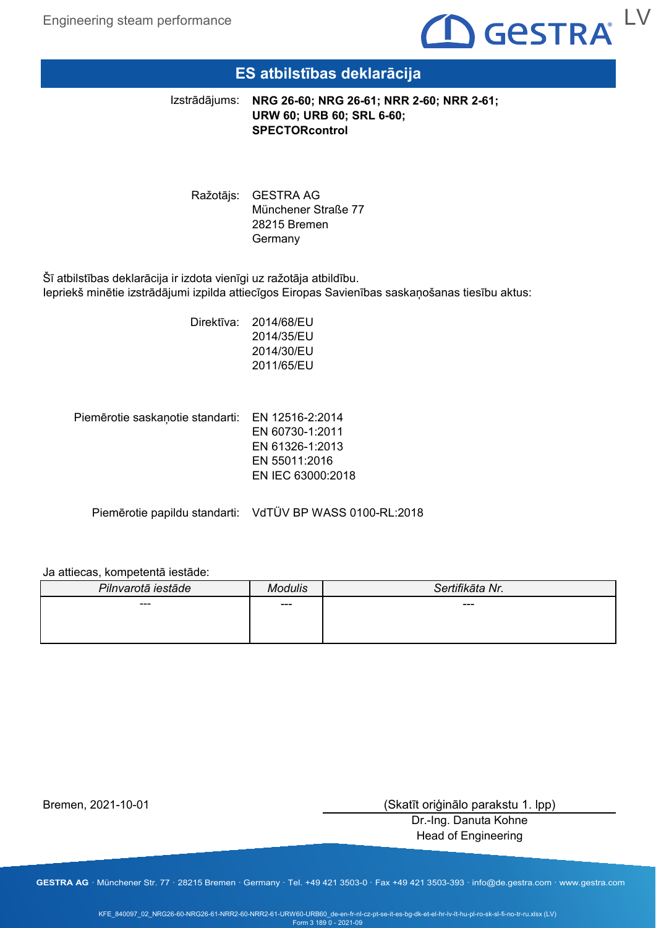

### **ES atbilstības deklarācija**

Izstrādājums:

**NRG 26-60; NRG 26-61; NRR 2-60; NRR 2-61; URW 60; URB 60; SRL 6-60; SPECTORcontrol**

Ražotājs: GESTRA AG Münchener Straße 77 28215 Bremen **Germany** 

Šī atbilstības deklarācija ir izdota vienīgi uz ražotāja atbildību. Iepriekš minētie izstrādājumi izpilda attiecīgos Eiropas Savienības saskaņošanas tiesību aktus:

> Direktīva: 2014/68/EU 2014/35/EU 2014/30/EU 2011/65/EU

Piemērotie saskaņotie standarti: EN 12516-2:2014 EN 60730-1:2011 EN 61326-1:2013

EN 55011:2016 EN IEC 63000:2018

Piemērotie papildu standarti: VdTÜV BP WASS 0100-RL:2018

#### Ja attiecas, kompetentā iestāde:

| Pilnvarotā iestāde | Modulis | Sertifikāta Nr. |
|--------------------|---------|-----------------|
| ---                | $---$   | ---             |
|                    |         |                 |
|                    |         |                 |

Bremen, 2021-10-01

(Skatīt oriģinālo parakstu 1. lpp)

Dr.-Ing. Danuta Kohne Head of Engineering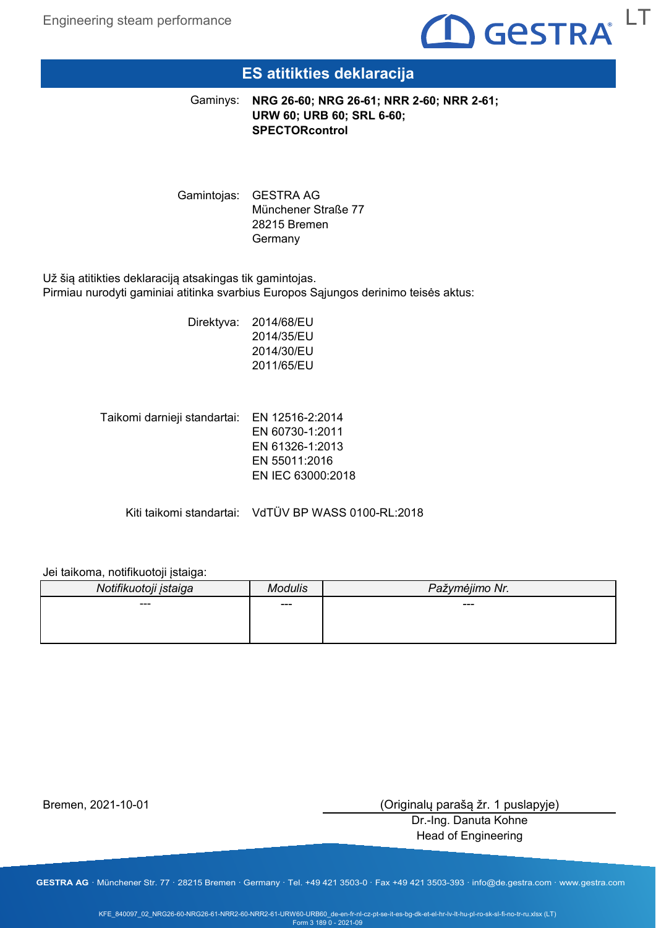

# **ES atitikties deklaracija**

**NRG 26-60; NRG 26-61; NRR 2-60; NRR 2-61;** Gaminys: **URW 60; URB 60; SRL 6-60; SPECTORcontrol**

Gamintojas: GESTRA AG Münchener Straße 77 28215 Bremen **Germany** 

Už šią atitikties deklaraciją atsakingas tik gamintojas. Pirmiau nurodyti gaminiai atitinka svarbius Europos Sąjungos derinimo teisės aktus:

> Direktyva: 2014/68/EU 2014/35/EU 2014/30/EU 2011/65/EU

Taikomi darnieji standartai: EN 12516-2:2014 EN 60730-1:2011 EN 61326-1:2013 EN 55011:2016 EN IEC 63000:2018

Kiti taikomi standartai: VdTÜV BP WASS 0100-RL:2018

Jei taikoma, notifikuotoji įstaiga:

| Notifikuotoji įstaiga |     | Pažymėjimo Nr. |
|-----------------------|-----|----------------|
| ---                   | --- | ---            |
|                       |     |                |

Bremen, 2021-10-01

(Originalų parašą žr. 1 puslapyje)

Dr.-Ing. Danuta Kohne Head of Engineering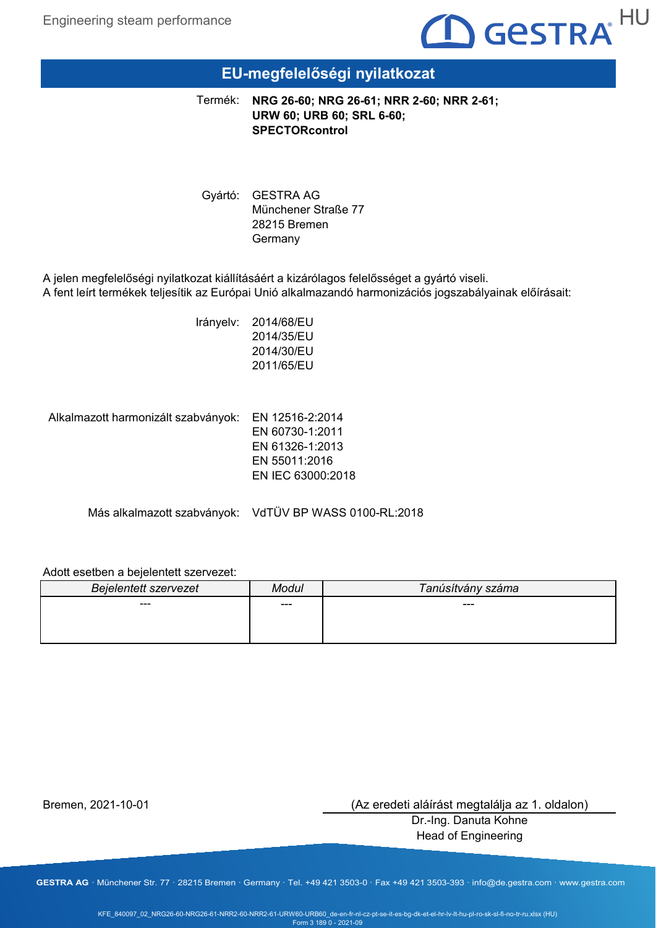

## **EU-megfelelőségi nyilatkozat**

**NRG 26-60; NRG 26-61; NRR 2-60; NRR 2-61; URW 60; URB 60; SRL 6-60; SPECTORcontrol** Termék:

Gyártó: GESTRA AG Münchener Straße 77 28215 Bremen Germany

A jelen megfelelőségi nyilatkozat kiállításáért a kizárólagos felelősséget a gyártó viseli. A fent leírt termékek teljesítik az Európai Unió alkalmazandó harmonizációs jogszabályainak előírásait:

> Irányelv: 2014/68/EU 2014/35/EU 2014/30/EU 2011/65/EU

Alkalmazott harmonizált szabványok: EN 12516-2:2014

EN 60730-1:2011 EN 61326-1:2013 EN 55011:2016 EN IEC 63000:2018

Más alkalmazott szabványok: VdTÜV BP WASS 0100-RL:2018

#### Adott esetben a bejelentett szervezet:

| <b>Bejelentett szervezet</b> | Modul | Tanúsítvány száma |
|------------------------------|-------|-------------------|
| ---                          | ---   | ---               |
|                              |       |                   |
|                              |       |                   |

Bremen, 2021-10-01

(Az eredeti aláírást megtalálja az 1. oldalon)

Dr.-Ing. Danuta Kohne Head of Engineering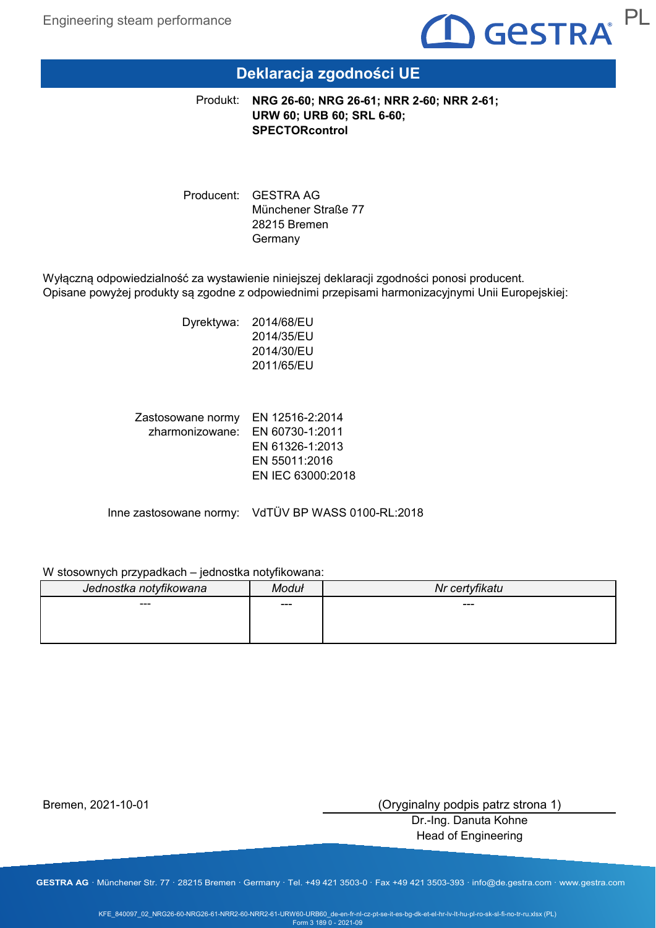

# **Deklaracja zgodności UE**

**NRG 26-60; NRG 26-61; NRR 2-60; NRR 2-61;** Produkt: **URW 60; URB 60; SRL 6-60; SPECTORcontrol**

Producent: GESTRA AG Münchener Straße 77 28215 Bremen Germany

Wyłączną odpowiedzialność za wystawienie niniejszej deklaracji zgodności ponosi producent. Opisane powyżej produkty są zgodne z odpowiednimi przepisami harmonizacyjnymi Unii Europejskiej:

> Dyrektywa: 2014/68/EU 2014/35/EU 2014/30/EU 2011/65/EU

Zastosowane normy EN 12516-2:2014 zharmonizowane: EN 60730-1:2011 EN 61326-1:2013 EN 55011:2016 EN IEC 63000:2018

Inne zastosowane normy: VdTÜV BP WASS 0100-RL:2018

#### W stosownych przypadkach – jednostka notyfikowana:

| Jednostka notyfikowana | Moduł | Nr certyfikatu |
|------------------------|-------|----------------|
| ---                    | ---   | $---$          |
|                        |       |                |
|                        |       |                |

Bremen, 2021-10-01

(Oryginalny podpis patrz strona 1)

Dr.-Ing. Danuta Kohne Head of Engineering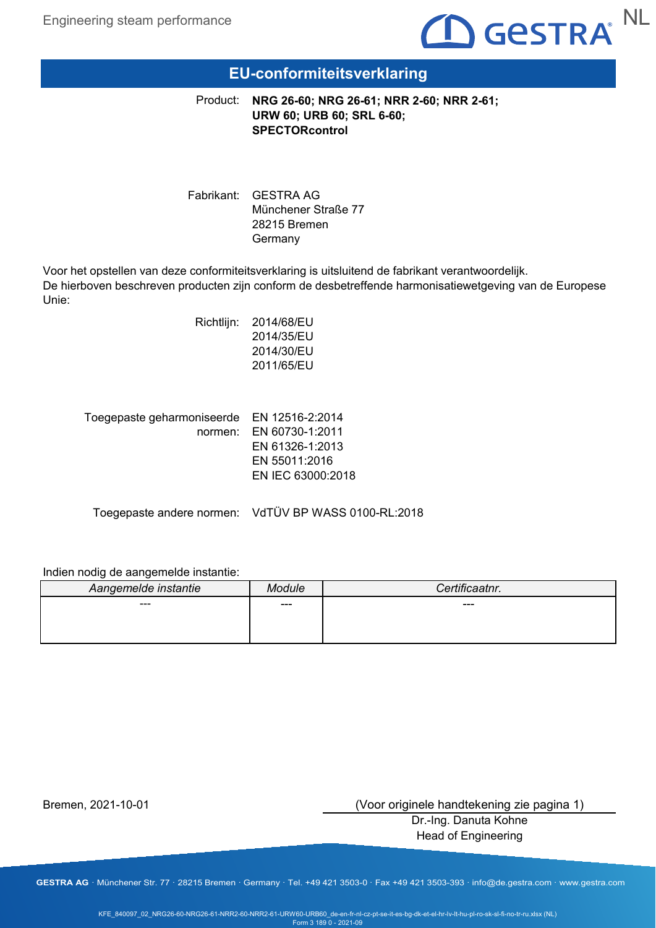

### **EU-conformiteitsverklaring**

**NRG 26-60; NRG 26-61; NRR 2-60; NRR 2-61;** Product: **URW 60; URB 60; SRL 6-60; SPECTORcontrol**

Fabrikant: GESTRA AG Münchener Straße 77 28215 Bremen Germany

Voor het opstellen van deze conformiteitsverklaring is uitsluitend de fabrikant verantwoordelijk. De hierboven beschreven producten zijn conform de desbetreffende harmonisatiewetgeving van de Europese Unie:

| Richtlijn: | 2014/68/EU |
|------------|------------|
|            | 2014/35/EU |
|            | 2014/30/EU |
|            | 2011/65/EU |
|            |            |

| Toegepaste geharmoniseerde EN 12516-2:2014 |                         |
|--------------------------------------------|-------------------------|
|                                            | normen: EN 60730-1:2011 |
|                                            | EN 61326-1:2013         |
|                                            | EN 55011:2016           |
|                                            | EN IEC 63000:2018       |
|                                            |                         |

Toegepaste andere normen: VdTÜV BP WASS 0100-RL:2018

### Indien nodig de aangemelde instantie:

| Aangemelde instantie | Aodule | Certificaatnr. |
|----------------------|--------|----------------|
| ---                  | ---    | ---            |
|                      |        |                |
|                      |        |                |

Bremen, 2021-10-01

(Voor originele handtekening zie pagina 1)

Dr.-Ing. Danuta Kohne Head of Engineering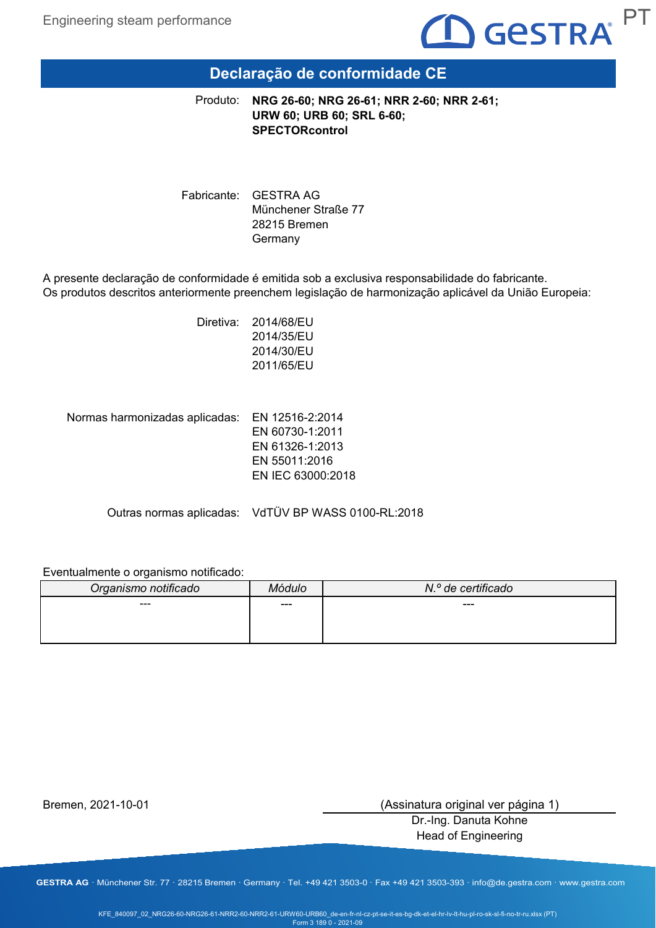

# **Declaração de conformidade CE**

**NRG 26-60; NRG 26-61; NRR 2-60; NRR 2-61; URW 60; URB 60; SRL 6-60; SPECTORcontrol** Produto:

Fabricante: GESTRA AG Münchener Straße 77 28215 Bremen Germany

A presente declaração de conformidade é emitida sob a exclusiva responsabilidade do fabricante. Os produtos descritos anteriormente preenchem legislação de harmonização aplicável da União Europeia:

> Diretiva: 2014/68/EU 2014/35/EU 2014/30/EU 2011/65/EU

Normas harmonizadas aplicadas: EN 12516-2:2014

EN 60730-1:2011 EN 61326-1:2013 EN 55011:2016 EN IEC 63000:2018

Outras normas aplicadas: VdTÜV BP WASS 0100-RL:2018

### Eventualmente o organismo notificado:

| Organismo notificado |     | N.º de certificado |
|----------------------|-----|--------------------|
| $--$                 | --- | $---$              |
|                      |     |                    |
|                      |     |                    |

Bremen, 2021-10-01

(Assinatura original ver página 1)

Dr.-Ing. Danuta Kohne Head of Engineering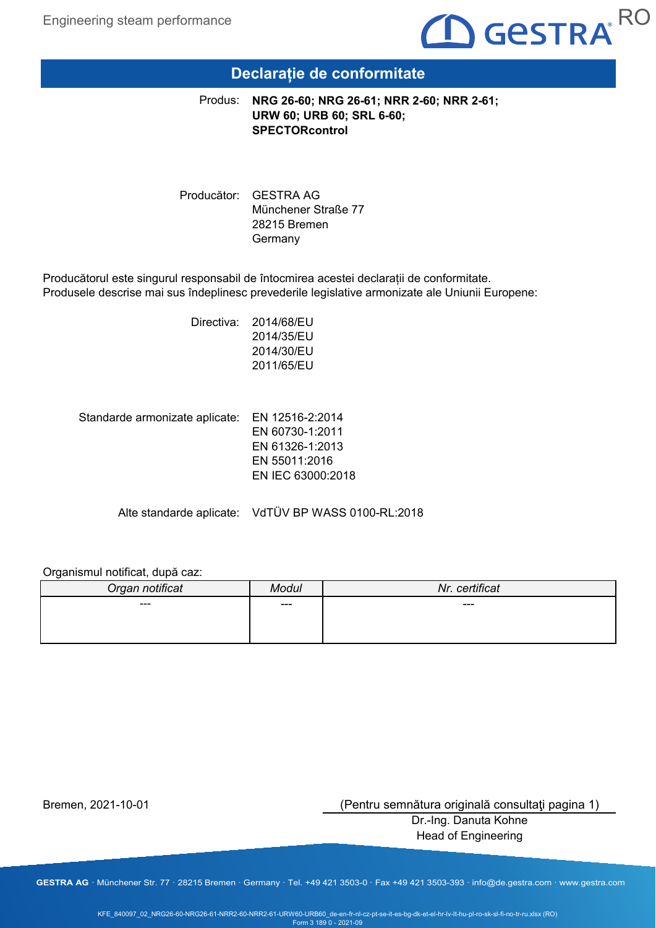

## **Declarație de conformitate**

**NRG 26-60; NRG 26-61; NRR 2-60; NRR 2-61;** Produs: **URW 60; URB 60; SRL 6-60; SPECTORcontrol**

Producător: GESTRA AG Münchener Straße 77 28215 Bremen Germany

Producătorul este singurul responsabil de întocmirea acestei declarații de conformitate. Produsele descrise mai sus îndeplinesc prevederile legislative armonizate ale Uniunii Europene:

> Directiva: 2014/68/EU 2014/35/EU 2014/30/EU 2011/65/EU

Standarde armonizate aplicate: EN 12516-2:2014 EN 60730-1:2011 EN 61326-1:2013 EN 55011:2016 EN IEC 63000:2018

Alte standarde aplicate: VdTÜV BP WASS 0100-RL:2018

#### Organismul notificat, după caz:

| Organ notificat | Modul | Nr. certificat |
|-----------------|-------|----------------|
| ---             | $---$ | ---            |
|                 |       |                |
|                 |       |                |

Bremen, 2021-10-01

(Pentru semnătura originală consultaţi pagina 1)

Dr.-Ing. Danuta Kohne Head of Engineering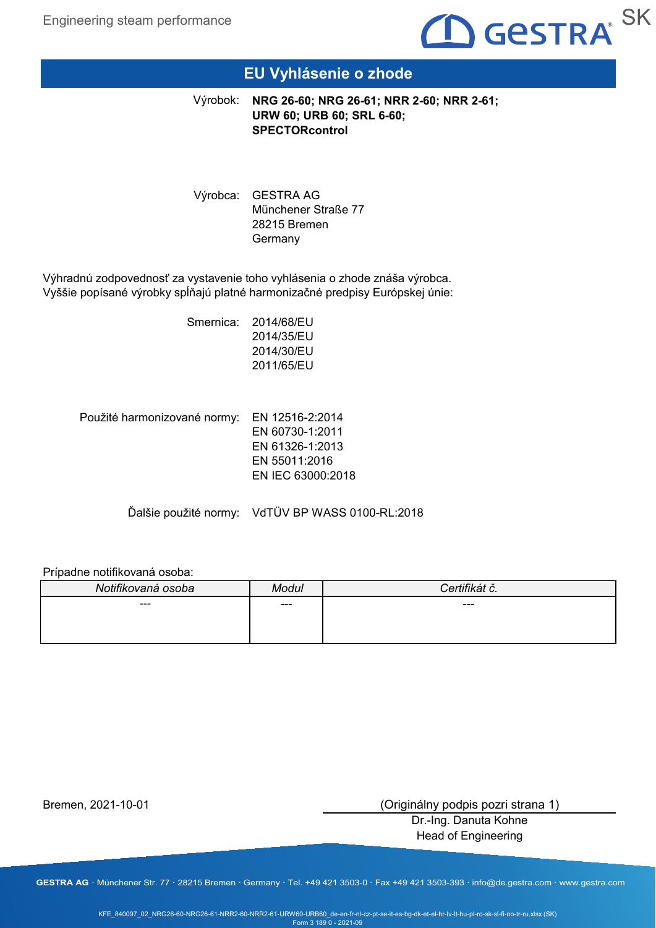

# **EU Vyhlásenie o zhode**

**NRG 26-60; NRG 26-61; NRR 2-60; NRR 2-61;** Výrobok: **URW 60; URB 60; SRL 6-60; SPECTORcontrol**

Výrobca: GESTRA AG Münchener Straße 77 28215 Bremen Germany

Výhradnú zodpovednosť za vystavenie toho vyhlásenia o zhode znáša výrobca. Vyššie popísané výrobky spĺňajú platné harmonizačné predpisy Európskej únie:

> Smernica: 2014/68/EU 2014/35/EU 2014/30/EU 2011/65/EU

Použité harmonizované normy: EN 12516-2:2014 EN 60730-1:2011 EN 61326-1:2013 EN 55011:2016 EN IEC 63000:2018

Ďalšie použité normy: VdTÜV BP WASS 0100-RL:2018

### Prípadne notifikovaná osoba:

| Notifikovaná osoba | Modul | ιu. |
|--------------------|-------|-----|
| ---                | ---   | --- |
|                    |       |     |
|                    |       |     |

Bremen, 2021-10-01

(Originálny podpis pozri strana 1)

Dr.-Ing. Danuta Kohne Head of Engineering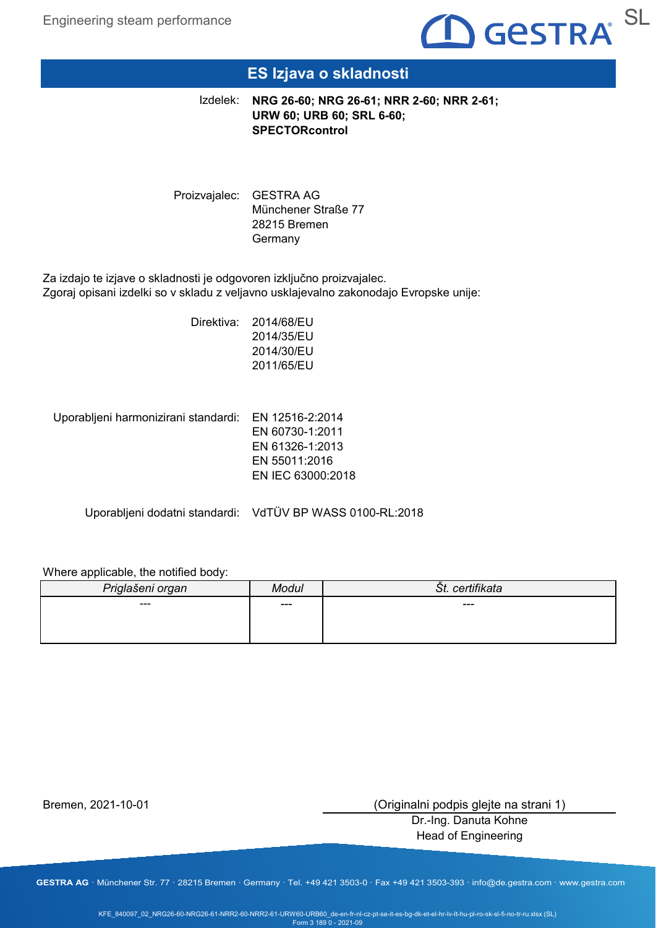

# **ES Izjava o skladnosti**

**NRG 26-60; NRG 26-61; NRR 2-60; NRR 2-61;** Izdelek: **URW 60; URB 60; SRL 6-60; SPECTORcontrol**

Proizvajalec: GESTRA AG Münchener Straße 77 28215 Bremen Germany

Za izdajo te izjave o skladnosti je odgovoren izključno proizvajalec. Zgoraj opisani izdelki so v skladu z veljavno usklajevalno zakonodajo Evropske unije:

> Direktiva: 2014/68/EU 2014/35/EU 2014/30/EU 2011/65/EU

Uporabljeni harmonizirani standardi: EN 12516-2:2014

EN 60730-1:2011 EN 61326-1:2013 EN 55011:2016 EN IEC 63000:2018

Uporabljeni dodatni standardi: VdTÜV BP WASS 0100-RL:2018

### Where applicable, the notified body:

| Priglašeni organ | Modul | certifikata<br>ST. |
|------------------|-------|--------------------|
| $--$             | $---$ | ---                |
|                  |       |                    |
|                  |       |                    |

Bremen, 2021-10-01

(Originalni podpis glejte na strani 1)

Dr.-Ing. Danuta Kohne Head of Engineering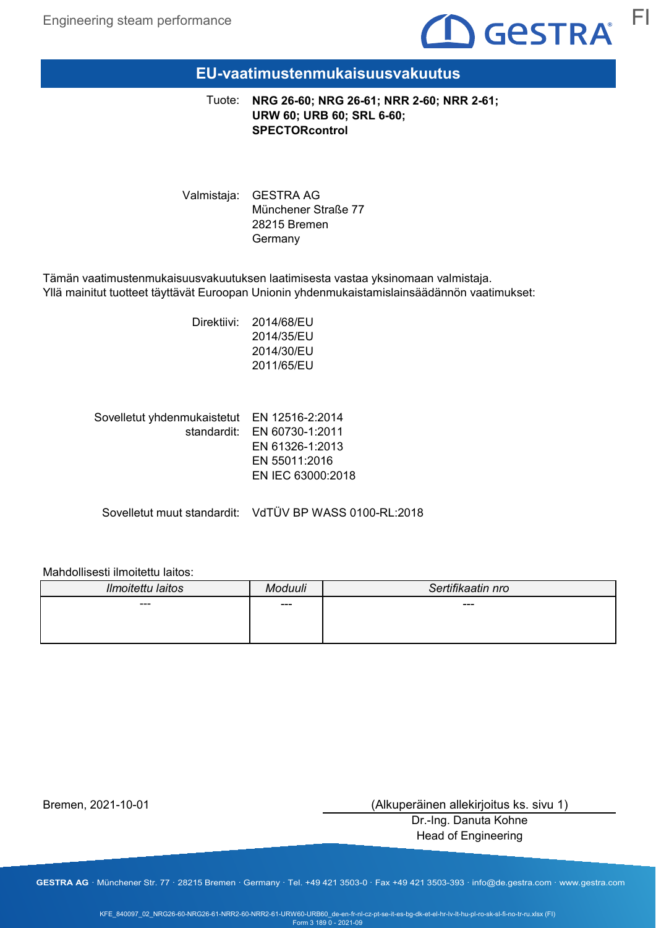

### **EU-vaatimustenmukaisuusvakuutus**

**NRG 26-60; NRG 26-61; NRR 2-60; NRR 2-61;** Tuote: **URW 60; URB 60; SRL 6-60; SPECTORcontrol**

Valmistaja: GESTRA AG Münchener Straße 77 28215 Bremen Germany

Tämän vaatimustenmukaisuusvakuutuksen laatimisesta vastaa yksinomaan valmistaja. Yllä mainitut tuotteet täyttävät Euroopan Unionin yhdenmukaistamislainsäädännön vaatimukset:

> Direktiivi: 2014/68/EU 2014/35/EU 2014/30/EU 2011/65/EU

| Sovelletut yhdenmukaistetut EN 12516-2:2014 |                             |
|---------------------------------------------|-----------------------------|
|                                             | standardit: EN 60730-1:2011 |
|                                             | EN 61326-1:2013             |
|                                             | EN 55011:2016               |
|                                             | EN IEC 63000:2018           |
|                                             |                             |

Sovelletut muut standardit: VdTÜV BP WASS 0100-RL:2018

### Mahdollisesti ilmoitettu laitos:

| Ilmoitettu laitos | Aoduuli | Sertifikaatin nro |
|-------------------|---------|-------------------|
| ---               | ---     | ---               |
|                   |         |                   |
|                   |         |                   |

Bremen, 2021-10-01

(Alkuperäinen allekirjoitus ks. sivu 1)

Dr.-Ing. Danuta Kohne Head of Engineering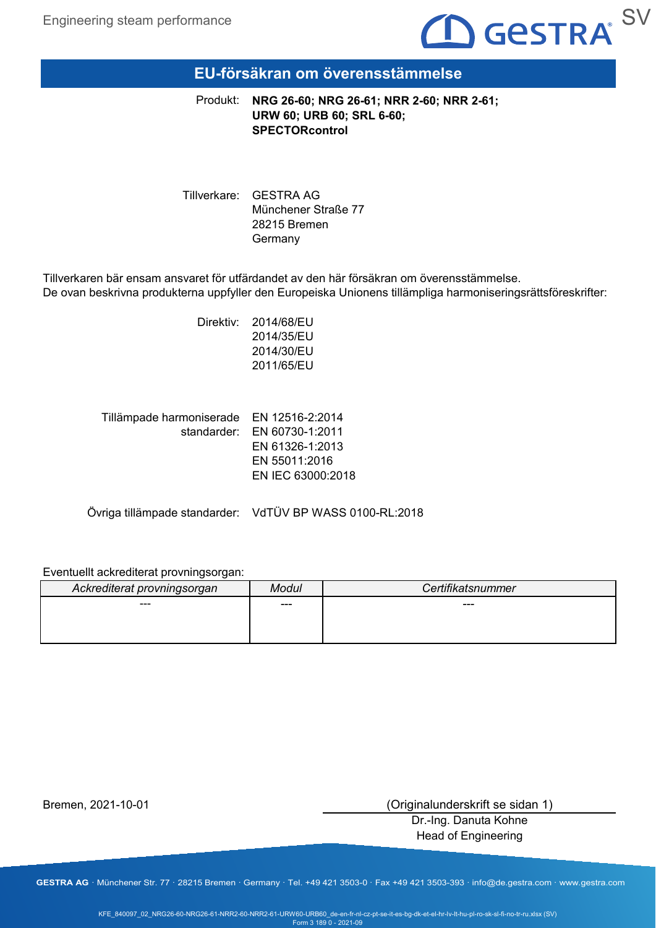

### **EU-försäkran om överensstämmelse**

**NRG 26-60; NRG 26-61; NRR 2-60; NRR 2-61;** Produkt: **URW 60; URB 60; SRL 6-60; SPECTORcontrol**

Tillverkare: GESTRA AG Münchener Straße 77 28215 Bremen Germany

Tillverkaren bär ensam ansvaret för utfärdandet av den här försäkran om överensstämmelse. De ovan beskrivna produkterna uppfyller den Europeiska Unionens tillämpliga harmoniseringsrättsföreskrifter:

> Direktiv: 2014/68/EU 2014/35/EU 2014/30/EU 2011/65/EU

| Tillämpade harmoniserade EN 12516-2:2014 |                             |
|------------------------------------------|-----------------------------|
|                                          | standarder: EN 60730-1:2011 |
|                                          | EN 61326-1:2013             |
|                                          | EN 55011:2016               |
|                                          | EN IEC 63000:2018           |
|                                          |                             |

Övriga tillämpade standarder: VdTÜV BP WASS 0100-RL:2018

### Eventuellt ackrediterat provningsorgan:

| Ackrediterat provningsorgan | Modul | Certifikatsnummer |
|-----------------------------|-------|-------------------|
| ---                         | ---   | $---$             |
|                             |       |                   |
|                             |       |                   |

Bremen, 2021-10-01

(Originalunderskrift se sidan 1)

Dr.-Ing. Danuta Kohne Head of Engineering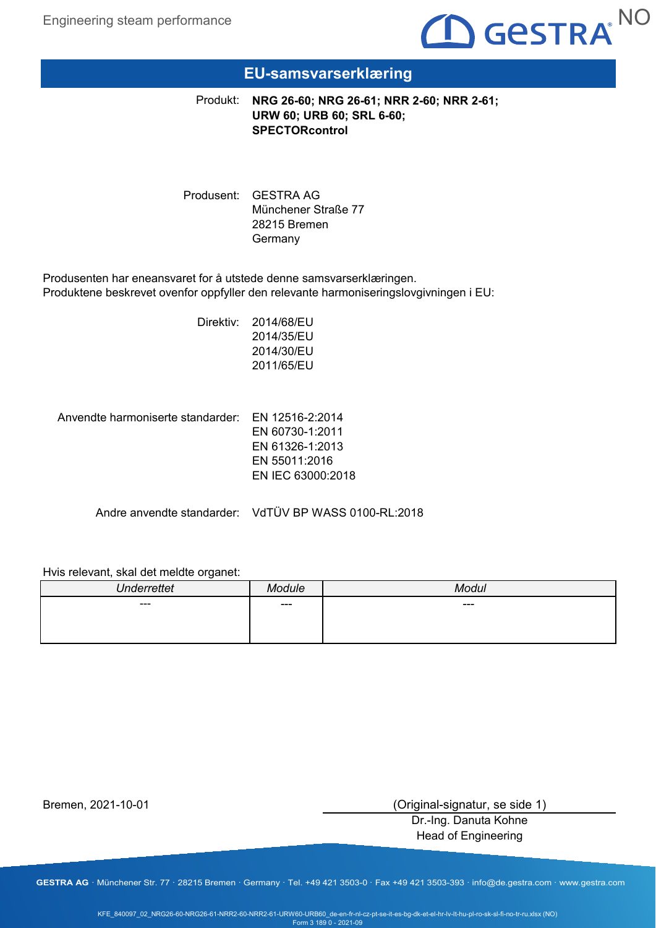

# **EU-samsvarserklæring**

**NRG 26-60; NRG 26-61; NRR 2-60; NRR 2-61;** Produkt: **URW 60; URB 60; SRL 6-60; SPECTORcontrol**

Produsent: GESTRA AG Münchener Straße 77 28215 Bremen Germany

Produsenten har eneansvaret for å utstede denne samsvarserklæringen. Produktene beskrevet ovenfor oppfyller den relevante harmoniseringslovgivningen i EU:

> Direktiv: 2014/68/EU 2014/35/EU 2014/30/EU 2011/65/EU

Anvendte harmoniserte standarder: EN 12516-2:2014

EN 60730-1:2011 EN 61326-1:2013 EN 55011:2016 EN IEC 63000:2018

Andre anvendte standarder: VdTÜV BP WASS 0100-RL:2018

### Hvis relevant, skal det meldte organet:

| $\cdots$<br>$\mathbf{I}$ |       | $\sqrt{2}$ |
|--------------------------|-------|------------|
| $---$                    | $---$ | $---$      |
|                          |       |            |
|                          |       |            |

Bremen, 2021-10-01

(Original-signatur, se side 1)

Dr.-Ing. Danuta Kohne Head of Engineering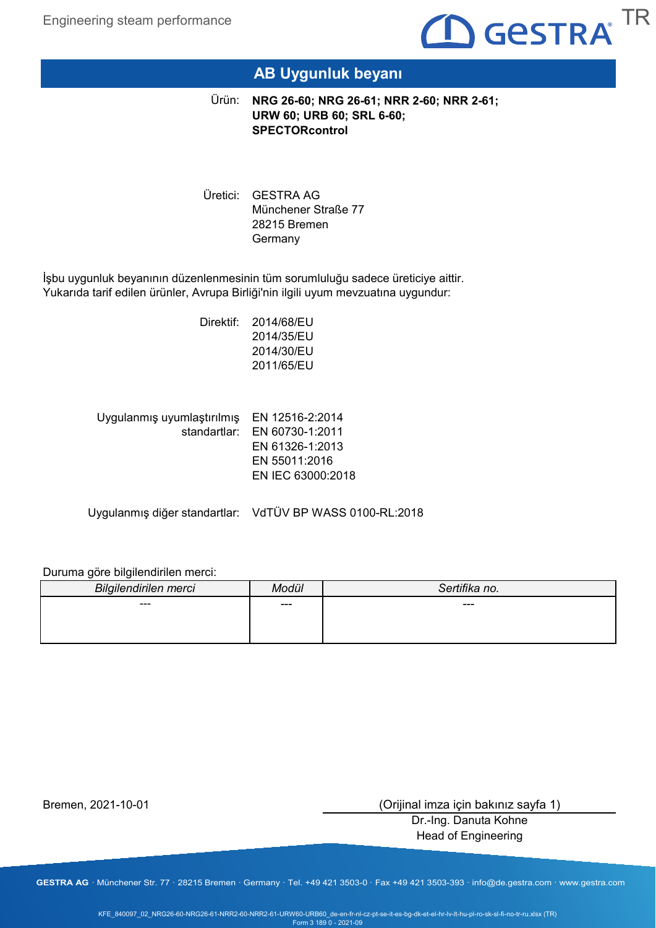

# **AB Uygunluk beyanı**

**NRG 26-60; NRG 26-61; NRR 2-60; NRR 2-61;** Ürün: **URW 60; URB 60; SRL 6-60; SPECTORcontrol**

Uretici: GESTRA AG Münchener Straße 77 28215 Bremen Germany

İşbu uygunluk beyanının düzenlenmesinin tüm sorumluluğu sadece üreticiye aittir. Yukarıda tarif edilen ürünler, Avrupa Birliği'nin ilgili uyum mevzuatına uygundur:

> Direktif: 2014/68/EU 2014/35/EU 2014/30/EU 2011/65/EU

| Uygulanmış uyumlaştırılmış EN 12516-2:2014 |                              |
|--------------------------------------------|------------------------------|
|                                            | standartlar: EN 60730-1:2011 |
|                                            | EN 61326-1:2013              |
|                                            | EN 55011:2016                |
|                                            | EN IEC 63000:2018            |
|                                            |                              |

Uygulanmış diğer standartlar: VdTÜV BP WASS 0100-RL:2018

### Duruma göre bilgilendirilen merci:

| Bilgilendirilen merci | Modül | Sertifika no. |
|-----------------------|-------|---------------|
| ---                   | ---   | ---           |
|                       |       |               |
|                       |       |               |

Bremen, 2021-10-01

(Orijinal imza için bakınız sayfa 1)

Dr.-Ing. Danuta Kohne Head of Engineering